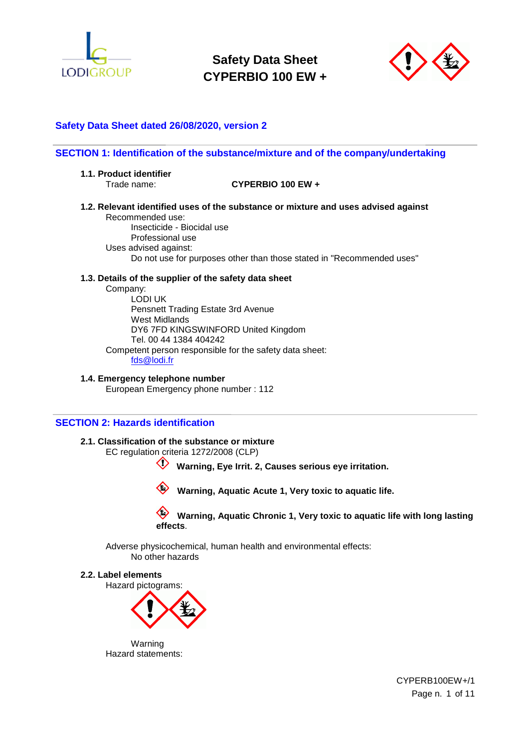



# **Safety Data Sheet dated 26/08/2020, version 2**

### **SECTION 1: Identification of the substance/mixture and of the company/undertaking**

**1.1. Product identifier**

# Trade name: **CYPERBIO 100 EW +**

**1.2. Relevant identified uses of the substance or mixture and uses advised against** Recommended use:

Insecticide - Biocidal use Professional use Uses advised against: Do not use for purposes other than those stated in "Recommended uses"

# **1.3. Details of the supplier of the safety data sheet**

Company: LODI UK Pensnett Trading Estate 3rd Avenue West Midlands DY6 7FD KINGSWINFORD United Kingdom Tel. 00 44 1384 404242 Competent person responsible for the safety data sheet: [fds@lodi.fr](mailto:fds@lodi.fr)

**1.4. Emergency telephone number** European Emergency phone number : 112

### **SECTION 2: Hazards identification**

#### **2.1. Classification of the substance or mixture**

EC regulation criteria 1272/2008 (CLP)

**Warning, Eye Irrit. 2, Causes serious eye irritation.**

 **Warning, Aquatic Acute 1, Very toxic to aquatic life.**

### **Warning, Aquatic Chronic 1, Very toxic to aquatic life with long lasting effects**.

Adverse physicochemical, human health and environmental effects: No other hazards

#### **2.2. Label elements**

Hazard pictograms:



Warning Hazard statements:

> CYPERB100EW+/1 Page n. 1 of 11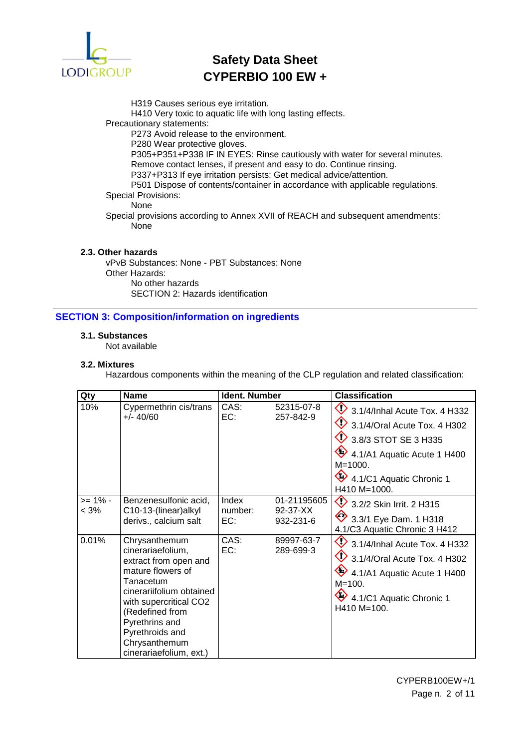

H319 Causes serious eye irritation.

H410 Very toxic to aquatic life with long lasting effects.

Precautionary statements:

P273 Avoid release to the environment.

P280 Wear protective gloves.

P305+P351+P338 IF IN EYES: Rinse cautiously with water for several minutes. Remove contact lenses, if present and easy to do. Continue rinsing.

P337+P313 If eye irritation persists: Get medical advice/attention. P501 Dispose of contents/container in accordance with applicable regulations.

Special Provisions:

# None

Special provisions according to Annex XVII of REACH and subsequent amendments: None

# **2.3. Other hazards**

vPvB Substances: None - PBT Substances: None Other Hazards: No other hazards SECTION 2: Hazards identification

# **SECTION 3: Composition/information on ingredients**

# **3.1. Substances**

Not available

### **3.2. Mixtures**

Hazardous components within the meaning of the CLP regulation and related classification:

| Qty                   | <b>Name</b>                                                                                                                                                                                                                                             | <b>Ident. Number</b>    |                                      | <b>Classification</b>                                                                                                                                                                                               |
|-----------------------|---------------------------------------------------------------------------------------------------------------------------------------------------------------------------------------------------------------------------------------------------------|-------------------------|--------------------------------------|---------------------------------------------------------------------------------------------------------------------------------------------------------------------------------------------------------------------|
| 10%                   | Cypermethrin cis/trans<br>$+/- 40/60$                                                                                                                                                                                                                   | CAS:<br>EC:             | 52315-07-8<br>257-842-9              | $\bigcirc$ 3.1/4/Inhal Acute Tox. 4 H332<br>$\bigotimes$ 3.1/4/Oral Acute Tox. 4 H302<br>$\bigcirc$ 3.8/3 STOT SE 3 H335<br>4.1/A1 Aquatic Acute 1 H400<br>$M = 1000$ .<br>4.1/C1 Aquatic Chronic 1<br>H410 M=1000. |
| $>= 1\% -$<br>$< 3\%$ | Benzenesulfonic acid,<br>C10-13-(linear)alkyl<br>derivs., calcium salt                                                                                                                                                                                  | Index<br>number:<br>EC: | 01-21195605<br>92-37-XX<br>932-231-6 | 3.2/2 Skin Irrit. 2 H315<br>$\bigotimes$ 3.3/1 Eye Dam. 1 H318<br>4.1/C3 Aquatic Chronic 3 H412                                                                                                                     |
| 0.01%                 | Chrysanthemum<br>cinerariaefolium,<br>extract from open and<br>mature flowers of<br>Tanacetum<br>cinerariifolium obtained<br>with supercritical CO2<br>(Redefined from<br>Pyrethrins and<br>Pyrethroids and<br>Chrysanthemum<br>cinerariaefolium, ext.) | CAS:<br>EC:             | 89997-63-7<br>289-699-3              | $\bigcirc$ 3.1/4/Inhal Acute Tox. 4 H332<br>$\bullet$ 3.1/4/Oral Acute Tox. 4 H302<br>4.1/A1 Aquatic Acute 1 H400<br>$M = 100.$<br>4.1/C1 Aquatic Chronic 1<br>H410 M=100.                                          |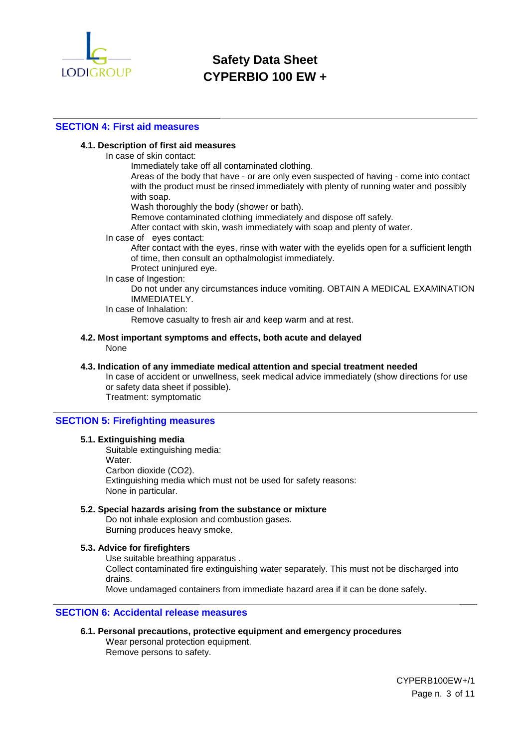

# **SECTION 4: First aid measures**

### **4.1. Description of first aid measures**

In case of skin contact:

Immediately take off all contaminated clothing.

Areas of the body that have - or are only even suspected of having - come into contact with the product must be rinsed immediately with plenty of running water and possibly with soap.

Wash thoroughly the body (shower or bath).

Remove contaminated clothing immediately and dispose off safely.

After contact with skin, wash immediately with soap and plenty of water.

#### In case of eyes contact:

After contact with the eyes, rinse with water with the eyelids open for a sufficient length of time, then consult an opthalmologist immediately.

Protect uninjured eye.

# In case of Ingestion:

Do not under any circumstances induce vomiting. OBTAIN A MEDICAL EXAMINATION IMMEDIATELY.

In case of Inhalation:

Remove casualty to fresh air and keep warm and at rest.

#### **4.2. Most important symptoms and effects, both acute and delayed** None

#### **4.3. Indication of any immediate medical attention and special treatment needed**

In case of accident or unwellness, seek medical advice immediately (show directions for use or safety data sheet if possible). Treatment: symptomatic

# **SECTION 5: Firefighting measures**

#### **5.1. Extinguishing media**

Suitable extinguishing media: Water. Carbon dioxide (CO2). Extinguishing media which must not be used for safety reasons: None in particular.

#### **5.2. Special hazards arising from the substance or mixture**

Do not inhale explosion and combustion gases. Burning produces heavy smoke.

#### **5.3. Advice for firefighters**

Use suitable breathing apparatus . Collect contaminated fire extinguishing water separately. This must not be discharged into drains.

Move undamaged containers from immediate hazard area if it can be done safely.

### **SECTION 6: Accidental release measures**

**6.1. Personal precautions, protective equipment and emergency procedures** Wear personal protection equipment.

Remove persons to safety.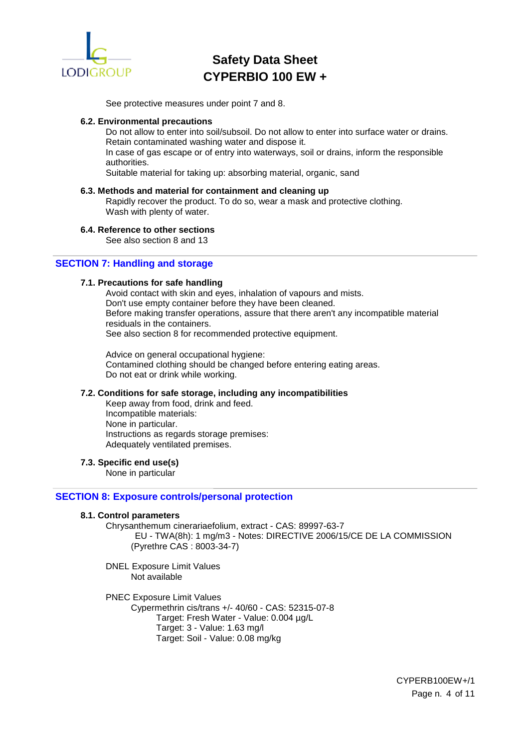

See protective measures under point 7 and 8.

#### **6.2. Environmental precautions**

Do not allow to enter into soil/subsoil. Do not allow to enter into surface water or drains. Retain contaminated washing water and dispose it. In case of gas escape or of entry into waterways, soil or drains, inform the responsible

authorities.

Suitable material for taking up: absorbing material, organic, sand

### **6.3. Methods and material for containment and cleaning up**

Rapidly recover the product. To do so, wear a mask and protective clothing. Wash with plenty of water.

#### **6.4. Reference to other sections**

See also section 8 and 13

# **SECTION 7: Handling and storage**

#### **7.1. Precautions for safe handling**

Avoid contact with skin and eyes, inhalation of vapours and mists. Don't use empty container before they have been cleaned. Before making transfer operations, assure that there aren't any incompatible material residuals in the containers. See also section 8 for recommended protective equipment.

Advice on general occupational hygiene: Contamined clothing should be changed before entering eating areas. Do not eat or drink while working.

#### **7.2. Conditions for safe storage, including any incompatibilities**

Keep away from food, drink and feed. Incompatible materials: None in particular. Instructions as regards storage premises: Adequately ventilated premises.

### **7.3. Specific end use(s)**

None in particular

# **SECTION 8: Exposure controls/personal protection**

### **8.1. Control parameters**

Chrysanthemum cinerariaefolium, extract - CAS: 89997-63-7 EU - TWA(8h): 1 mg/m3 - Notes: DIRECTIVE 2006/15/CE DE LA COMMISSION (Pyrethre CAS : 8003-34-7)

DNEL Exposure Limit Values Not available

PNEC Exposure Limit Values Cypermethrin cis/trans +/- 40/60 - CAS: 52315-07-8 Target: Fresh Water - Value: 0.004 µg/L Target: 3 - Value: 1.63 mg/l Target: Soil - Value: 0.08 mg/kg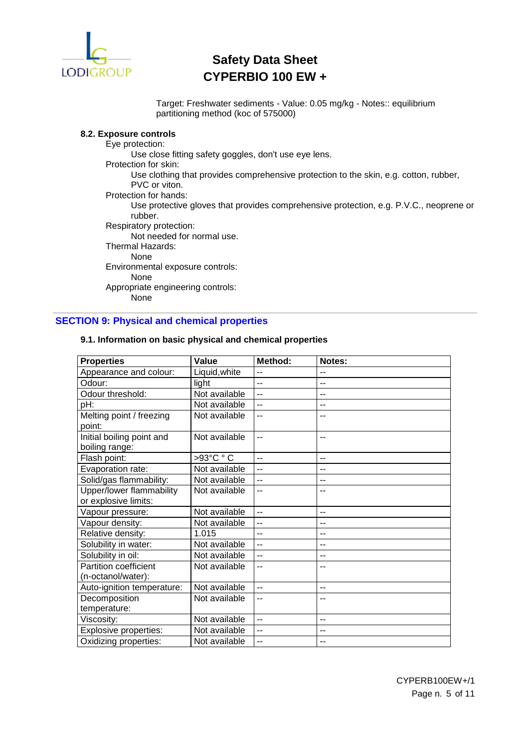

Target: Freshwater sediments - Value: 0.05 mg/kg - Notes:: equilibrium partitioning method (koc of 575000)

# **8.2. Exposure controls**

Eye protection: Use close fitting safety goggles, don't use eye lens. Protection for skin: Use clothing that provides comprehensive protection to the skin, e.g. cotton, rubber, PVC or viton. Protection for hands: Use protective gloves that provides comprehensive protection, e.g. P.V.C., neoprene or rubber. Respiratory protection: Not needed for normal use. Thermal Hazards: None Environmental exposure controls: None Appropriate engineering controls: None

# **SECTION 9: Physical and chemical properties**

| <b>Properties</b>                           | <b>Value</b>  | Method:        | Notes:            |
|---------------------------------------------|---------------|----------------|-------------------|
| Appearance and colour:                      | Liquid, white | $-$            | $\overline{a}$    |
| Odour:                                      | light         | $\overline{a}$ | $-$               |
| Odour threshold:                            | Not available | $\overline{a}$ | $-$               |
| pH:                                         | Not available | $-$            | --                |
| Melting point / freezing<br>point:          | Not available | --             |                   |
| Initial boiling point and<br>boiling range: | Not available | --             | $-$               |
| Flash point:                                | >93°C ° C     | $-$            | $\qquad \qquad -$ |
| Evaporation rate:                           | Not available | $\overline{a}$ | $\overline{a}$    |
| Solid/gas flammability:                     | Not available | --             | $-$               |
| Upper/lower flammability                    | Not available | --             |                   |
| or explosive limits:                        |               |                |                   |
| Vapour pressure:                            | Not available | $-$            | $-$               |
| Vapour density:                             | Not available | --             | --                |
| Relative density:                           | 1.015         | --             | $-$               |
| Solubility in water:                        | Not available | $\overline{a}$ | $\overline{a}$    |
| Solubility in oil:                          | Not available | --             | $-$               |
| Partition coefficient                       | Not available | --             | --                |
| (n-octanol/water):                          |               |                |                   |
| Auto-ignition temperature:                  | Not available | $\overline{a}$ | $-$               |
| Decomposition                               | Not available | $=$            |                   |
| temperature:                                |               |                |                   |
| Viscosity:                                  | Not available | $-$            | $-$               |
| Explosive properties:                       | Not available | --             | $-$               |
| Oxidizing properties:                       | Not available | --             | --                |

#### **9.1. Information on basic physical and chemical properties**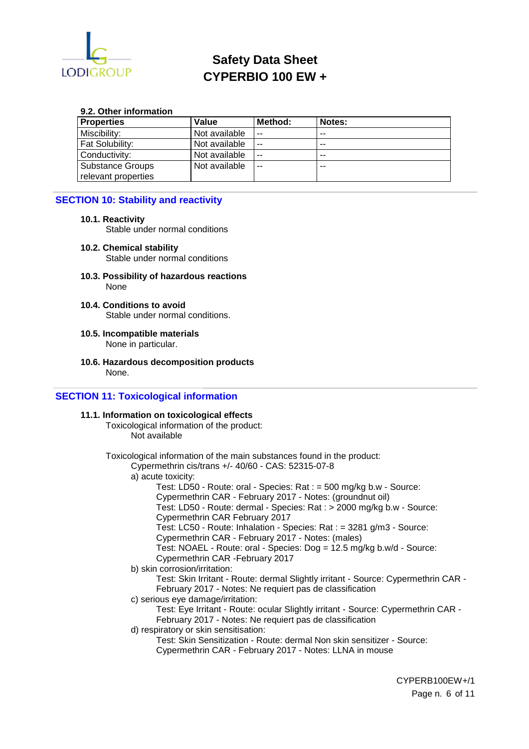

#### **9.2. Other information**

| <b>Properties</b>                       | Value         | Method: | Notes: |
|-----------------------------------------|---------------|---------|--------|
| Miscibility:                            | Not available | $- -$   | --     |
| l Fat Solubilitv:                       | Not available | $- -$   | $- -$  |
| l Conductivitv:                         | Not available | $- -$   | $- -$  |
| Substance Groups<br>relevant properties | Not available | $- -$   | --     |

### **SECTION 10: Stability and reactivity**

### **10.1. Reactivity**

Stable under normal conditions

- **10.2. Chemical stability** Stable under normal conditions
- **10.3. Possibility of hazardous reactions** None
- **10.4. Conditions to avoid** Stable under normal conditions.
- **10.5. Incompatible materials** None in particular.
- **10.6. Hazardous decomposition products** None.

# **SECTION 11: Toxicological information**

#### **11.1. Information on toxicological effects**

Toxicological information of the product: Not available

CYPERB100EW+/1 Toxicological information of the main substances found in the product: Cypermethrin cis/trans +/- 40/60 - CAS: 52315-07-8 a) acute toxicity: Test: LD50 - Route: oral - Species: Rat : = 500 mg/kg b.w - Source: Cypermethrin CAR - February 2017 - Notes: (groundnut oil) Test: LD50 - Route: dermal - Species: Rat : > 2000 mg/kg b.w - Source: Cypermethrin CAR February 2017 Test: LC50 - Route: Inhalation - Species: Rat : = 3281 g/m3 - Source: Cypermethrin CAR - February 2017 - Notes: (males) Test: NOAEL - Route: oral - Species: Dog = 12.5 mg/kg b.w/d - Source: Cypermethrin CAR -February 2017 b) skin corrosion/irritation: Test: Skin Irritant - Route: dermal Slightly irritant - Source: Cypermethrin CAR - February 2017 - Notes: Ne requiert pas de classification c) serious eye damage/irritation: Test: Eye Irritant - Route: ocular Slightly irritant - Source: Cypermethrin CAR - February 2017 - Notes: Ne requiert pas de classification d) respiratory or skin sensitisation: Test: Skin Sensitization - Route: dermal Non skin sensitizer - Source: Cypermethrin CAR - February 2017 - Notes: LLNA in mouse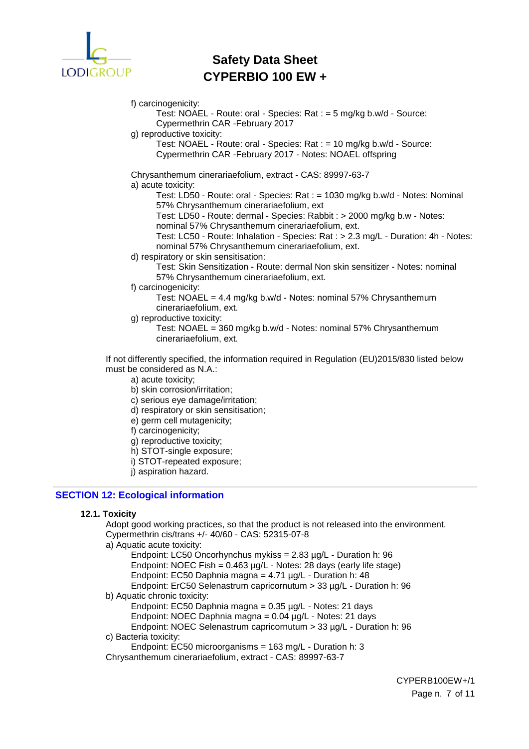

f) carcinogenicity:

Test: NOAEL - Route: oral - Species: Rat : = 5 mg/kg b.w/d - Source: Cypermethrin CAR -February 2017

g) reproductive toxicity:

Test: NOAEL - Route: oral - Species: Rat : = 10 mg/kg b.w/d - Source: Cypermethrin CAR -February 2017 - Notes: NOAEL offspring

Chrysanthemum cinerariaefolium, extract - CAS: 89997-63-7 a) acute toxicity:

Test: LD50 - Route: oral - Species: Rat : = 1030 mg/kg b.w/d - Notes: Nominal 57% Chrysanthemum cinerariaefolium, ext

Test: LD50 - Route: dermal - Species: Rabbit : > 2000 mg/kg b.w - Notes:

nominal 57% Chrysanthemum cinerariaefolium, ext.

Test: LC50 - Route: Inhalation - Species: Rat : > 2.3 mg/L - Duration: 4h - Notes: nominal 57% Chrysanthemum cinerariaefolium, ext.

d) respiratory or skin sensitisation:

Test: Skin Sensitization - Route: dermal Non skin sensitizer - Notes: nominal 57% Chrysanthemum cinerariaefolium, ext.

f) carcinogenicity:

Test: NOAEL = 4.4 mg/kg b.w/d - Notes: nominal 57% Chrysanthemum cinerariaefolium, ext.

g) reproductive toxicity:

Test: NOAEL = 360 mg/kg b.w/d - Notes: nominal 57% Chrysanthemum cinerariaefolium, ext.

If not differently specified, the information required in Regulation (EU)2015/830 listed below must be considered as N.A.:

- a) acute toxicity;
- b) skin corrosion/irritation;
- c) serious eye damage/irritation;
- d) respiratory or skin sensitisation;
- e) germ cell mutagenicity;
- f) carcinogenicity;
- g) reproductive toxicity;
- h) STOT-single exposure;
- i) STOT-repeated exposure;
- j) aspiration hazard.

# **SECTION 12: Ecological information**

# **12.1. Toxicity**

Adopt good working practices, so that the product is not released into the environment. Cypermethrin cis/trans +/- 40/60 - CAS: 52315-07-8

a) Aquatic acute toxicity:

Endpoint: LC50 Oncorhynchus mykiss = 2.83 µg/L - Duration h: 96 Endpoint: NOEC Fish = 0.463 µg/L - Notes: 28 days (early life stage) Endpoint: EC50 Daphnia magna = 4.71 µg/L - Duration h: 48 Endpoint: ErC50 Selenastrum capricornutum > 33 µg/L - Duration h: 96

# b) Aquatic chronic toxicity:

Endpoint: EC50 Daphnia magna = 0.35 µg/L - Notes: 21 days

Endpoint: NOEC Daphnia magna = 0.04 µg/L - Notes: 21 days

Endpoint: NOEC Selenastrum capricornutum > 33 µg/L - Duration h: 96

c) Bacteria toxicity:

Endpoint: EC50 microorganisms = 163 mg/L - Duration h: 3

Chrysanthemum cinerariaefolium, extract - CAS: 89997-63-7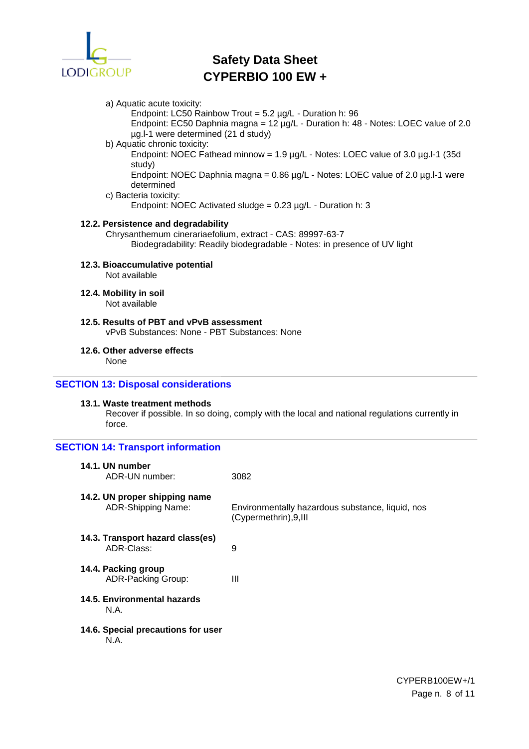

#### a) Aquatic acute toxicity:

Endpoint: LC50 Rainbow Trout = 5.2 µg/L - Duration h: 96

Endpoint: EC50 Daphnia magna = 12 µg/L - Duration h: 48 - Notes: LOEC value of 2.0 µg.l-1 were determined (21 d study)

# b) Aquatic chronic toxicity:

Endpoint: NOEC Fathead minnow = 1.9 µg/L - Notes: LOEC value of 3.0 µg.l-1 (35d study)

Endpoint: NOEC Daphnia magna =  $0.86$  µg/L - Notes: LOEC value of 2.0 µg.l-1 were determined

c) Bacteria toxicity:

Endpoint: NOEC Activated sludge = 0.23 µg/L - Duration h: 3

# **12.2. Persistence and degradability**

Chrysanthemum cinerariaefolium, extract - CAS: 89997-63-7 Biodegradability: Readily biodegradable - Notes: in presence of UV light

# **12.3. Bioaccumulative potential**

Not available

**12.4. Mobility in soil** Not available

#### **12.5. Results of PBT and vPvB assessment** vPvB Substances: None - PBT Substances: None

#### **12.6. Other adverse effects** None

# **SECTION 13: Disposal considerations**

# **13.1. Waste treatment methods**

Recover if possible. In so doing, comply with the local and national regulations currently in force.

| <b>SECTION 14: Transport information</b>                   |                                                                            |
|------------------------------------------------------------|----------------------------------------------------------------------------|
| 14.1. UN number<br>ADR-UN number:                          | 3082                                                                       |
| 14.2. UN proper shipping name<br><b>ADR-Shipping Name:</b> | Environmentally hazardous substance, liquid, nos<br>(Cypermethrin), 9, III |
| 14.3. Transport hazard class(es)<br>ADR-Class:             | 9                                                                          |
| 14.4. Packing group<br>ADR-Packing Group:                  | Ш                                                                          |
| 14.5. Environmental hazards<br>N.A.                        |                                                                            |
| 14.6. Special precautions for user<br>N.A.                 |                                                                            |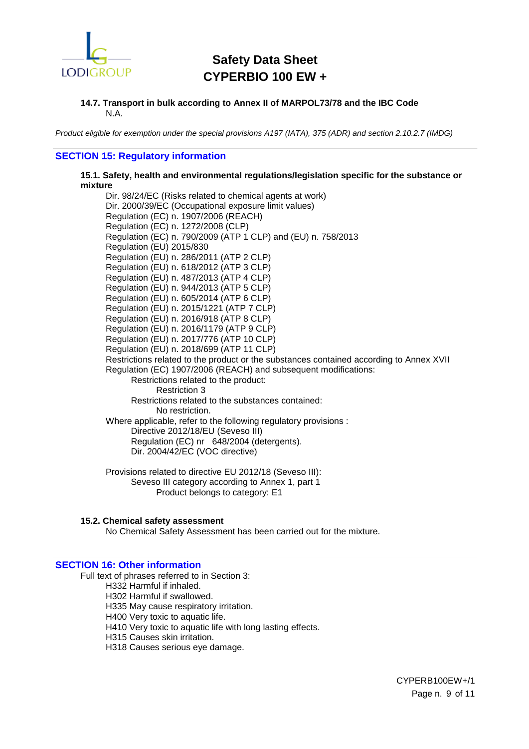

#### **14.7. Transport in bulk according to Annex II of MARPOL73/78 and the IBC Code** N.A.

*Product eligible for exemption under the special provisions A197 (IATA), 375 (ADR) and section 2.10.2.7 (IMDG)*

### **SECTION 15: Regulatory information**

**15.1. Safety, health and environmental regulations/legislation specific for the substance or mixture**

Dir. 98/24/EC (Risks related to chemical agents at work) Dir. 2000/39/EC (Occupational exposure limit values) Regulation (EC) n. 1907/2006 (REACH) Regulation (EC) n. 1272/2008 (CLP) Regulation (EC) n. 790/2009 (ATP 1 CLP) and (EU) n. 758/2013 Regulation (EU) 2015/830 Regulation (EU) n. 286/2011 (ATP 2 CLP) Regulation (EU) n. 618/2012 (ATP 3 CLP) Regulation (EU) n. 487/2013 (ATP 4 CLP) Regulation (EU) n. 944/2013 (ATP 5 CLP) Regulation (EU) n. 605/2014 (ATP 6 CLP) Regulation (EU) n. 2015/1221 (ATP 7 CLP) Regulation (EU) n. 2016/918 (ATP 8 CLP) Regulation (EU) n. 2016/1179 (ATP 9 CLP) Regulation (EU) n. 2017/776 (ATP 10 CLP) Regulation (EU) n. 2018/699 (ATP 11 CLP) Restrictions related to the product or the substances contained according to Annex XVII Regulation (EC) 1907/2006 (REACH) and subsequent modifications: Restrictions related to the product: Restriction 3 Restrictions related to the substances contained: No restriction. Where applicable, refer to the following regulatory provisions : Directive 2012/18/EU (Seveso III) Regulation (EC) nr 648/2004 (detergents). Dir. 2004/42/EC (VOC directive)

Provisions related to directive EU 2012/18 (Seveso III): Seveso III category according to Annex 1, part 1 Product belongs to category: E1

**15.2. Chemical safety assessment**

No Chemical Safety Assessment has been carried out for the mixture.

### **SECTION 16: Other information**

Full text of phrases referred to in Section 3: H332 Harmful if inhaled. H302 Harmful if swallowed. H335 May cause respiratory irritation. H400 Very toxic to aquatic life. H410 Very toxic to aquatic life with long lasting effects. H315 Causes skin irritation. H318 Causes serious eye damage.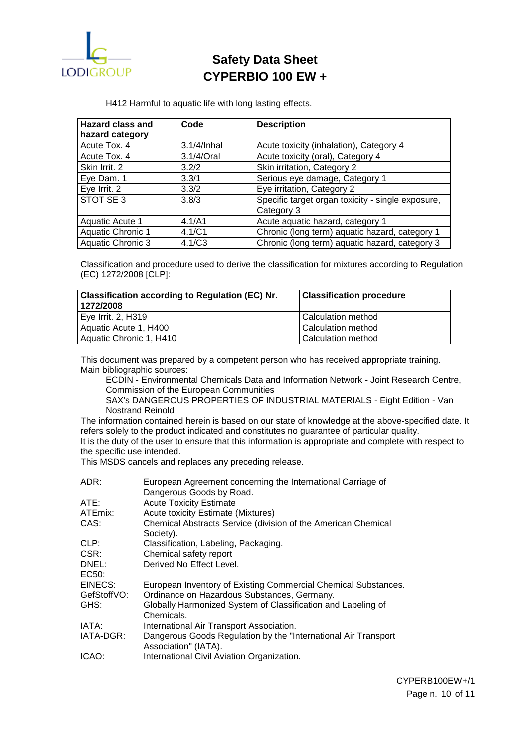

H412 Harmful to aquatic life with long lasting effects.

| <b>Hazard class and</b>  | Code        | <b>Description</b>                                |
|--------------------------|-------------|---------------------------------------------------|
| hazard category          |             |                                                   |
| Acute Tox. 4             | 3.1/4/Inhal | Acute toxicity (inhalation), Category 4           |
| Acute Tox. 4             | 3.1/4/Oral  | Acute toxicity (oral), Category 4                 |
| Skin Irrit. 2            | 3.2/2       | Skin irritation, Category 2                       |
| Eye Dam. 1               | 3.3/1       | Serious eye damage, Category 1                    |
| Eye Irrit. 2             | 3.3/2       | Eye irritation, Category 2                        |
| STOT SE 3                | 3.8/3       | Specific target organ toxicity - single exposure, |
|                          |             | Category 3                                        |
| Aquatic Acute 1          | 4.1/A1      | Acute aquatic hazard, category 1                  |
| <b>Aquatic Chronic 1</b> | 4.1/C1      | Chronic (long term) aquatic hazard, category 1    |
| <b>Aquatic Chronic 3</b> | 4.1/C3      | Chronic (long term) aquatic hazard, category 3    |

Classification and procedure used to derive the classification for mixtures according to Regulation (EC) 1272/2008 [CLP]:

| <b>Classification according to Regulation (EC) Nr.</b><br>1272/2008 | <b>Classification procedure</b> |
|---------------------------------------------------------------------|---------------------------------|
| Eye Irrit. 2, H319                                                  | l Calculation method            |
| Aquatic Acute 1, H400                                               | l Calculation method            |
| Aquatic Chronic 1, H410                                             | Calculation method              |

This document was prepared by a competent person who has received appropriate training. Main bibliographic sources:

ECDIN - Environmental Chemicals Data and Information Network - Joint Research Centre, Commission of the European Communities

SAX's DANGEROUS PROPERTIES OF INDUSTRIAL MATERIALS - Eight Edition - Van Nostrand Reinold

The information contained herein is based on our state of knowledge at the above-specified date. It refers solely to the product indicated and constitutes no guarantee of particular quality.

It is the duty of the user to ensure that this information is appropriate and complete with respect to the specific use intended.

This MSDS cancels and replaces any preceding release.

| ADR:        | European Agreement concerning the International Carriage of                             |
|-------------|-----------------------------------------------------------------------------------------|
|             | Dangerous Goods by Road.                                                                |
| ATE:        | <b>Acute Toxicity Estimate</b>                                                          |
| ATEmix:     | <b>Acute toxicity Estimate (Mixtures)</b>                                               |
| CAS:        | Chemical Abstracts Service (division of the American Chemical<br>Society).              |
| CLP:        | Classification, Labeling, Packaging.                                                    |
| CSR:        | Chemical safety report                                                                  |
| DNEL:       | Derived No Effect Level.                                                                |
| EC50:       |                                                                                         |
| EINECS:     | European Inventory of Existing Commercial Chemical Substances.                          |
| GefStoffVO: | Ordinance on Hazardous Substances, Germany.                                             |
| GHS:        | Globally Harmonized System of Classification and Labeling of<br>Chemicals.              |
| IATA:       | International Air Transport Association.                                                |
| IATA-DGR:   | Dangerous Goods Regulation by the "International Air Transport"<br>Association" (IATA). |
| ICAO:       | International Civil Aviation Organization.                                              |